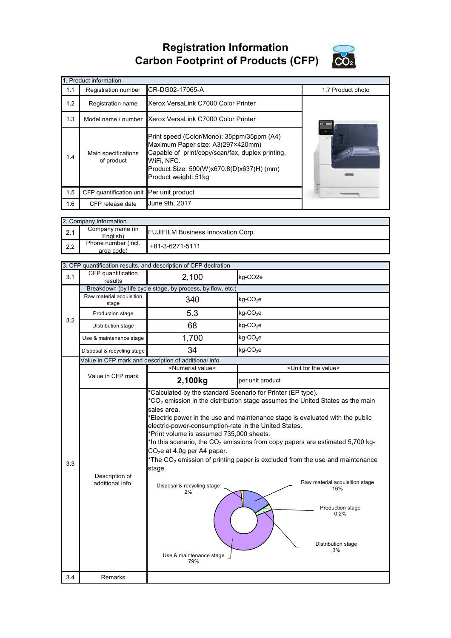**Registration Information Carbon Footprint of Products (CFP)**



|     | 1. Product information                   |                                                                                                                                                                                                                        |                   |
|-----|------------------------------------------|------------------------------------------------------------------------------------------------------------------------------------------------------------------------------------------------------------------------|-------------------|
| 1.1 | Registration number                      | CR-DG02-17065-A                                                                                                                                                                                                        | 1.7 Product photo |
| 1.2 | Registration name                        | Xerox VersaLink C7000 Color Printer                                                                                                                                                                                    |                   |
| 1.3 | Model name / number                      | Xerox VersaLink C7000 Color Printer                                                                                                                                                                                    |                   |
| 1.4 | Main specifications<br>of product        | Print speed (Color/Mono): 35ppm/35ppm (A4)<br>Maximum Paper size: A3(297×420mm)<br>Capable of print/copy/scan/fax, duplex printing,<br>WiFi, NFC.<br>Product Size: 590(W)x670.8(D)x637(H) (mm)<br>Product weight: 51kg |                   |
| 1.5 | CFP quantification unit Per unit product |                                                                                                                                                                                                                        |                   |
| 1.6 | CFP release date                         | June 9th, 2017                                                                                                                                                                                                         |                   |

|     | 2. Company Information            |                                           |
|-----|-----------------------------------|-------------------------------------------|
| 2.1 | Company name (in<br>English)      | <b>FUJIFILM Business Innovation Corp.</b> |
| 2.2 | Phone number (incl.<br>area code) | $+81-3-6271-5111$                         |

| CFP quantification<br>2,100<br>kg-CO <sub>2</sub> e<br>3.1<br>results<br>Breakdown (by life cycle stage, by process, by flow, etc.)<br>Raw material acquisition<br>$kg$ -CO <sub>2</sub> e<br>340<br>stage<br>$kg$ -CO <sub>2</sub> e<br>5.3<br>Production stage<br>3.2<br>68<br>$kg$ -CO <sub>2</sub> e<br>Distribution stage<br>1,700<br>$kg$ -CO <sub>2</sub> e<br>Use & maintenance stage<br>34<br>$kg$ -CO <sub>2</sub> e<br>Disposal & recycling stage<br>Value in CFP mark and description of additional info.<br><numerial value=""><br/><unit for="" the="" value=""><br/>Value in CFP mark<br/>2,100kg<br/>per unit product<br/>*Calculated by the standard Scenario for Printer (EP type).<br/><math>*CO2</math> emission in the distribution stage assumes the United States as the main<br/>sales area.<br/>*Electric power in the use and maintenance stage is evaluated with the public<br/>electric-power-consumption-rate in the United States.<br/>*Print volume is assumed 735,000 sheets.<br/>*In this scenario, the <math>CO2</math> emissions from copy papers are estimated 5,700 kg-<br/><math>CO2e</math> at 4.0g per A4 paper.<br/>*The <math>CO2</math> emission of printing paper is excluded from the use and maintenance<br/>3.3<br/>stage.<br/>Description of<br/>Raw material acquisition stage<br/>additional info.<br/>Disposal &amp; recycling stage<br/>16%<br/>2%<br/>Production stage<br/>0.2%<br/>Distribution stage<br/>3%</unit></numerial> |  | 3. CFP quantification results, and description of CFP declration |  |
|--------------------------------------------------------------------------------------------------------------------------------------------------------------------------------------------------------------------------------------------------------------------------------------------------------------------------------------------------------------------------------------------------------------------------------------------------------------------------------------------------------------------------------------------------------------------------------------------------------------------------------------------------------------------------------------------------------------------------------------------------------------------------------------------------------------------------------------------------------------------------------------------------------------------------------------------------------------------------------------------------------------------------------------------------------------------------------------------------------------------------------------------------------------------------------------------------------------------------------------------------------------------------------------------------------------------------------------------------------------------------------------------------------------------------------------------------------------------------------------|--|------------------------------------------------------------------|--|
|                                                                                                                                                                                                                                                                                                                                                                                                                                                                                                                                                                                                                                                                                                                                                                                                                                                                                                                                                                                                                                                                                                                                                                                                                                                                                                                                                                                                                                                                                      |  |                                                                  |  |
|                                                                                                                                                                                                                                                                                                                                                                                                                                                                                                                                                                                                                                                                                                                                                                                                                                                                                                                                                                                                                                                                                                                                                                                                                                                                                                                                                                                                                                                                                      |  |                                                                  |  |
|                                                                                                                                                                                                                                                                                                                                                                                                                                                                                                                                                                                                                                                                                                                                                                                                                                                                                                                                                                                                                                                                                                                                                                                                                                                                                                                                                                                                                                                                                      |  |                                                                  |  |
|                                                                                                                                                                                                                                                                                                                                                                                                                                                                                                                                                                                                                                                                                                                                                                                                                                                                                                                                                                                                                                                                                                                                                                                                                                                                                                                                                                                                                                                                                      |  |                                                                  |  |
|                                                                                                                                                                                                                                                                                                                                                                                                                                                                                                                                                                                                                                                                                                                                                                                                                                                                                                                                                                                                                                                                                                                                                                                                                                                                                                                                                                                                                                                                                      |  |                                                                  |  |
|                                                                                                                                                                                                                                                                                                                                                                                                                                                                                                                                                                                                                                                                                                                                                                                                                                                                                                                                                                                                                                                                                                                                                                                                                                                                                                                                                                                                                                                                                      |  |                                                                  |  |
|                                                                                                                                                                                                                                                                                                                                                                                                                                                                                                                                                                                                                                                                                                                                                                                                                                                                                                                                                                                                                                                                                                                                                                                                                                                                                                                                                                                                                                                                                      |  |                                                                  |  |
|                                                                                                                                                                                                                                                                                                                                                                                                                                                                                                                                                                                                                                                                                                                                                                                                                                                                                                                                                                                                                                                                                                                                                                                                                                                                                                                                                                                                                                                                                      |  |                                                                  |  |
|                                                                                                                                                                                                                                                                                                                                                                                                                                                                                                                                                                                                                                                                                                                                                                                                                                                                                                                                                                                                                                                                                                                                                                                                                                                                                                                                                                                                                                                                                      |  |                                                                  |  |
|                                                                                                                                                                                                                                                                                                                                                                                                                                                                                                                                                                                                                                                                                                                                                                                                                                                                                                                                                                                                                                                                                                                                                                                                                                                                                                                                                                                                                                                                                      |  |                                                                  |  |
| Use & maintenance stage<br>79%                                                                                                                                                                                                                                                                                                                                                                                                                                                                                                                                                                                                                                                                                                                                                                                                                                                                                                                                                                                                                                                                                                                                                                                                                                                                                                                                                                                                                                                       |  |                                                                  |  |
| 3.4<br>Remarks                                                                                                                                                                                                                                                                                                                                                                                                                                                                                                                                                                                                                                                                                                                                                                                                                                                                                                                                                                                                                                                                                                                                                                                                                                                                                                                                                                                                                                                                       |  |                                                                  |  |